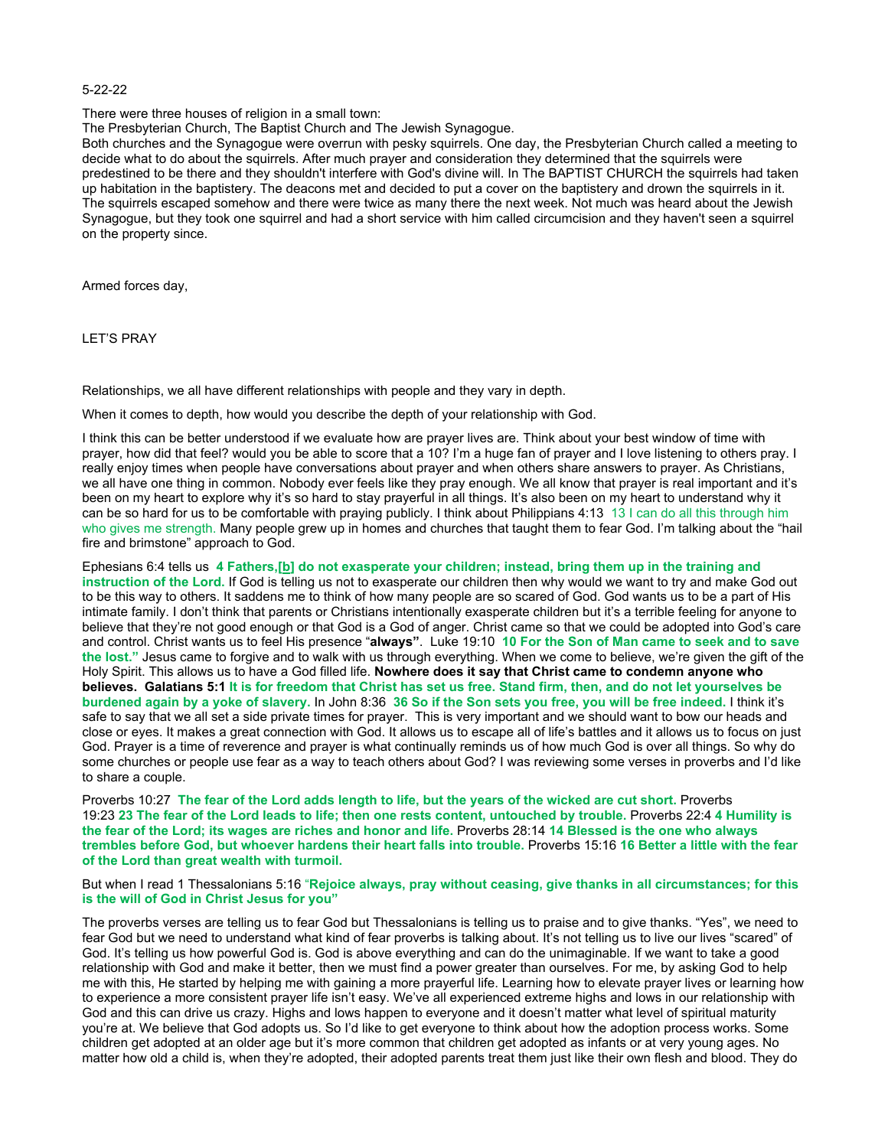## 5-22-22

There were three houses of religion in a small town:

The Presbyterian Church, The Baptist Church and The Jewish Synagogue.

Both churches and the Synagogue were overrun with pesky squirrels. One day, the Presbyterian Church called a meeting to decide what to do about the squirrels. After much prayer and consideration they determined that the squirrels were predestined to be there and they shouldn't interfere with God's divine will. In The BAPTIST CHURCH the squirrels had taken up habitation in the baptistery. The deacons met and decided to put a cover on the baptistery and drown the squirrels in it. The squirrels escaped somehow and there were twice as many there the next week. Not much was heard about the Jewish Synagogue, but they took one squirrel and had a short service with him called circumcision and they haven't seen a squirrel on the property since.

Armed forces day,

LET'S PRAY

Relationships, we all have different relationships with people and they vary in depth.

When it comes to depth, how would you describe the depth of your relationship with God.

I think this can be better understood if we evaluate how are prayer lives are. Think about your best window of time with prayer, how did that feel? would you be able to score that a 10? I'm a huge fan of prayer and I love listening to others pray. I really enjoy times when people have conversations about prayer and when others share answers to prayer. As Christians, we all have one thing in common. Nobody ever feels like they pray enough. We all know that prayer is real important and it's been on my heart to explore why it's so hard to stay prayerful in all things. It's also been on my heart to understand why it can be so hard for us to be comfortable with praying publicly. I think about Philippians 4:13 13 I can do all this through him who gives me strength. Many people grew up in homes and churches that taught them to fear God. I'm talking about the "hail fire and brimstone" approach to God.

Ephesians 6:4 tells us **4 Fathers,[[b](https://www.biblegateway.com/passage/?search=Ephesians+6&version=NIV#fen-NIV-29342b)] do not exasperate your children; instead, bring them up in the training and instruction of the Lord.** If God is telling us not to exasperate our children then why would we want to try and make God out to be this way to others. It saddens me to think of how many people are so scared of God. God wants us to be a part of His intimate family. I don't think that parents or Christians intentionally exasperate children but it's a terrible feeling for anyone to believe that they're not good enough or that God is a God of anger. Christ came so that we could be adopted into God's care and control. Christ wants us to feel His presence "**always"**. Luke 19:10 **10 For the Son of Man came to seek and to save the lost."** Jesus came to forgive and to walk with us through everything. When we come to believe, we're given the gift of the Holy Spirit. This allows us to have a God filled life. **Nowhere does it say that Christ came to condemn anyone who believes. Galatians 5:1 It is for freedom that Christ has set us free. Stand firm, then, and do not let yourselves be burdened again by a yoke of slavery.** In John 8:36 **36 So if the Son sets you free, you will be free indeed.** I think it's safe to say that we all set a side private times for prayer. This is very important and we should want to bow our heads and close or eyes. It makes a great connection with God. It allows us to escape all of life's battles and it allows us to focus on just God. Prayer is a time of reverence and prayer is what continually reminds us of how much God is over all things. So why do some churches or people use fear as a way to teach others about God? I was reviewing some verses in proverbs and I'd like to share a couple.

Proverbs 10:27 **The fear of the Lord adds length to life, but the years of the wicked are cut short.** Proverbs 19:23 **23 The fear of the Lord leads to life; then one rests content, untouched by trouble.** Proverbs 22:4 **4 Humility is the fear of the Lord; its wages are riches and honor and life.** Proverbs 28:14 **14 Blessed is the one who always trembles before God, but whoever hardens their heart falls into trouble.** Proverbs 15:16 **16 Better a little with the fear of the Lord than great wealth with turmoil.**

But when I read 1 Thessalonians 5:16 "**Rejoice always, pray without ceasing, give thanks in all circumstances; for this is the will of God in Christ Jesus for you"**

The proverbs verses are telling us to fear God but Thessalonians is telling us to praise and to give thanks. "Yes", we need to fear God but we need to understand what kind of fear proverbs is talking about. It's not telling us to live our lives "scared" of God. It's telling us how powerful God is. God is above everything and can do the unimaginable. If we want to take a good relationship with God and make it better, then we must find a power greater than ourselves. For me, by asking God to help me with this, He started by helping me with gaining a more prayerful life. Learning how to elevate prayer lives or learning how to experience a more consistent prayer life isn't easy. We've all experienced extreme highs and lows in our relationship with God and this can drive us crazy. Highs and lows happen to everyone and it doesn't matter what level of spiritual maturity you're at. We believe that God adopts us. So I'd like to get everyone to think about how the adoption process works. Some children get adopted at an older age but it's more common that children get adopted as infants or at very young ages. No matter how old a child is, when they're adopted, their adopted parents treat them just like their own flesh and blood. They do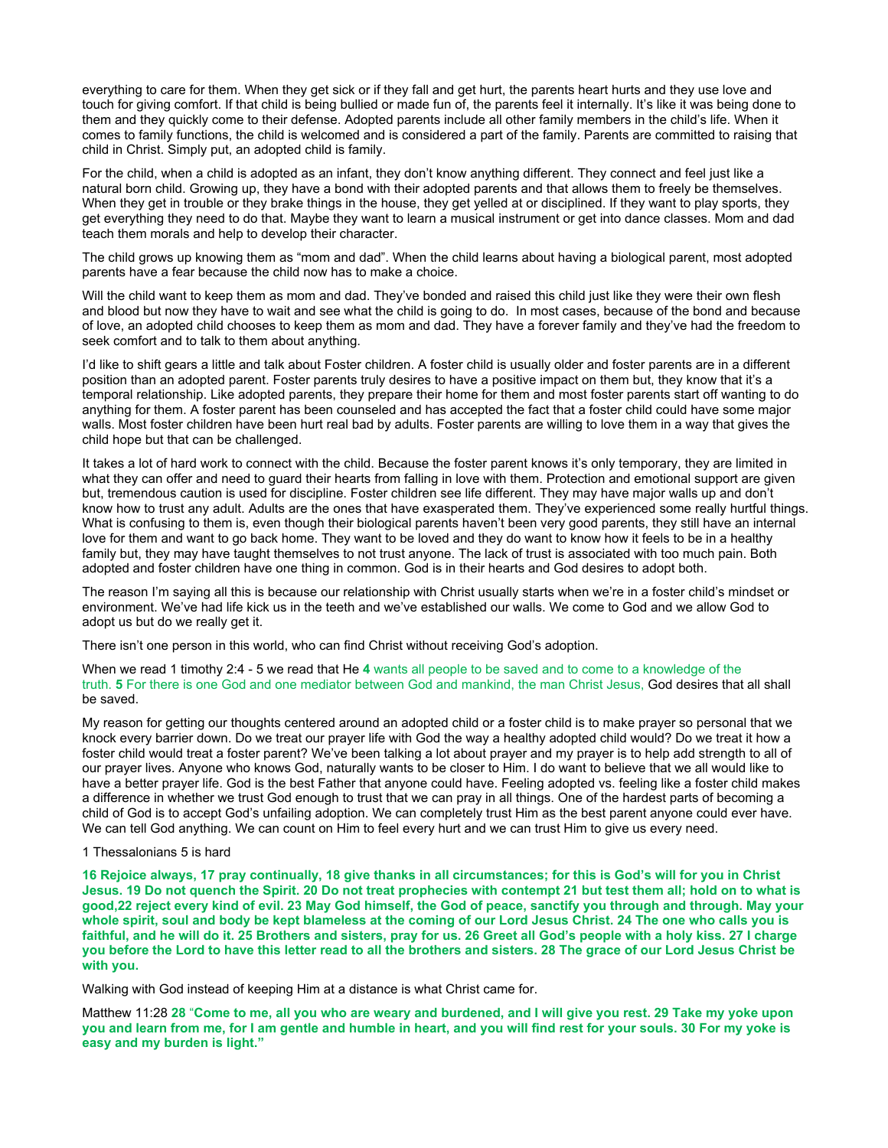everything to care for them. When they get sick or if they fall and get hurt, the parents heart hurts and they use love and touch for giving comfort. If that child is being bullied or made fun of, the parents feel it internally. It's like it was being done to them and they quickly come to their defense. Adopted parents include all other family members in the child's life. When it comes to family functions, the child is welcomed and is considered a part of the family. Parents are committed to raising that child in Christ. Simply put, an adopted child is family.

For the child, when a child is adopted as an infant, they don't know anything different. They connect and feel just like a natural born child. Growing up, they have a bond with their adopted parents and that allows them to freely be themselves. When they get in trouble or they brake things in the house, they get yelled at or disciplined. If they want to play sports, they get everything they need to do that. Maybe they want to learn a musical instrument or get into dance classes. Mom and dad teach them morals and help to develop their character.

The child grows up knowing them as "mom and dad". When the child learns about having a biological parent, most adopted parents have a fear because the child now has to make a choice.

Will the child want to keep them as mom and dad. They've bonded and raised this child just like they were their own flesh and blood but now they have to wait and see what the child is going to do. In most cases, because of the bond and because of love, an adopted child chooses to keep them as mom and dad. They have a forever family and they've had the freedom to seek comfort and to talk to them about anything.

I'd like to shift gears a little and talk about Foster children. A foster child is usually older and foster parents are in a different position than an adopted parent. Foster parents truly desires to have a positive impact on them but, they know that it's a temporal relationship. Like adopted parents, they prepare their home for them and most foster parents start off wanting to do anything for them. A foster parent has been counseled and has accepted the fact that a foster child could have some major walls. Most foster children have been hurt real bad by adults. Foster parents are willing to love them in a way that gives the child hope but that can be challenged.

It takes a lot of hard work to connect with the child. Because the foster parent knows it's only temporary, they are limited in what they can offer and need to guard their hearts from falling in love with them. Protection and emotional support are given but, tremendous caution is used for discipline. Foster children see life different. They may have major walls up and don't know how to trust any adult. Adults are the ones that have exasperated them. They've experienced some really hurtful things. What is confusing to them is, even though their biological parents haven't been very good parents, they still have an internal love for them and want to go back home. They want to be loved and they do want to know how it feels to be in a healthy family but, they may have taught themselves to not trust anyone. The lack of trust is associated with too much pain. Both adopted and foster children have one thing in common. God is in their hearts and God desires to adopt both.

The reason I'm saying all this is because our relationship with Christ usually starts when we're in a foster child's mindset or environment. We've had life kick us in the teeth and we've established our walls. We come to God and we allow God to adopt us but do we really get it.

There isn't one person in this world, who can find Christ without receiving God's adoption.

When we read 1 timothy 2:4 - 5 we read that He **4** wants all people to be saved and to come to a knowledge of the truth. **5** For there is one God and one mediator between God and mankind, the man Christ Jesus, God desires that all shall be saved.

My reason for getting our thoughts centered around an adopted child or a foster child is to make prayer so personal that we knock every barrier down. Do we treat our prayer life with God the way a healthy adopted child would? Do we treat it how a foster child would treat a foster parent? We've been talking a lot about prayer and my prayer is to help add strength to all of our prayer lives. Anyone who knows God, naturally wants to be closer to Him. I do want to believe that we all would like to have a better prayer life. God is the best Father that anyone could have. Feeling adopted vs. feeling like a foster child makes a difference in whether we trust God enough to trust that we can pray in all things. One of the hardest parts of becoming a child of God is to accept God's unfailing adoption. We can completely trust Him as the best parent anyone could ever have. We can tell God anything. We can count on Him to feel every hurt and we can trust Him to give us every need.

## 1 Thessalonians 5 is hard

**16 Rejoice always, 17 pray continually, 18 give thanks in all circumstances; for this is God's will for you in Christ Jesus. 19 Do not quench the Spirit. 20 Do not treat prophecies with contempt 21 but test them all; hold on to what is good,22 reject every kind of evil. 23 May God himself, the God of peace, sanctify you through and through. May your whole spirit, soul and body be kept blameless at the coming of our Lord Jesus Christ. 24 The one who calls you is faithful, and he will do it. 25 Brothers and sisters, pray for us. 26 Greet all God's people with a holy kiss. 27 I charge you before the Lord to have this letter read to all the brothers and sisters. 28 The grace of our Lord Jesus Christ be with you.**

Walking with God instead of keeping Him at a distance is what Christ came for.

Matthew 11:28 **28** "**Come to me, all you who are weary and burdened, and I will give you rest. 29 Take my yoke upon you and learn from me, for I am gentle and humble in heart, and you will find rest for your souls. 30 For my yoke is easy and my burden is light."**